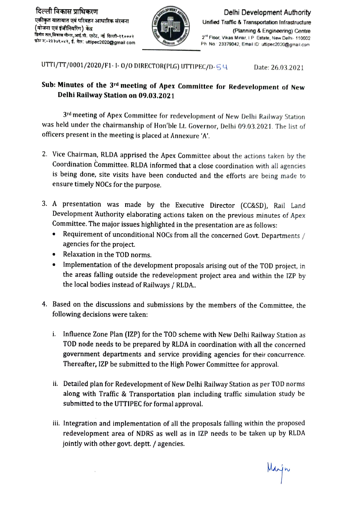

Unified Trafic& Transportation Infrastructure (Planning& Engineering) Centre 2<sup>M</sup> Floor, Vikas Minar, I.P. Estate, New Delhi- 110002 Ph. No.: 23379042, Email ID: uttipec2020@gmail.com

UTTI/TT/0001/2020/F1-1-0/0 DIRECTOR(PLG) UTTIPEC/D-54 Date: 26.03.2021

## Sub: Minutes of the 3rd meeting of Apex Committee for Redevelopment of New Delhi Railway Station on 09.03.2021

3nd meeting of Apex Committee for redevelopment of New Delhi Railway Station was held under the chairmanship of Hon'ble Lt. Governor, Delhi 09.03.2021. The list of officers present in the meeting is placed at Annexure 'A'.

- 2. Vice Chairman, RLDA apprised the Apex Committee about the actions taken by the Coordination Committee. RLDA informed that a close coordination with all agencies is being done, site visits have been conducted and the efforts are being made to ensure timely NOCs for the purpose.
- 3. A presentation was made by the Executive Director (Cc&SD), Rail Land Development Authority elaborating actions taken on the previous minutes of Apex Committee. The major issues highlighted in the presentation are as follows:
	- Requirement of unconditional NOCs from all the concerned Govt. Departments  $/$  $\bullet$ agencies for the project.
	- Relaxation in the TOD norms.  $\bullet$
	- Implementation of the development proposals arising out of the TOD project, in  $\bullet$ the areas falling outside the redevelopment project area and within the 1ZP by the local bodies instead of Railways/ RLDA..
- 4. Based on the discussions and submissions by the members of the Committee, the following decisions were taken:
	- i. Influence Zone Plan (1ZP) for the TOD scheme with New Delhi Railway Station as TOD node needs to be prepared by RLDA in coordination with all the concerned government departments and service providing agencies for their concurrence. Thereafter, IZP be submitted to the High Power Committee for approval.
	- i. Detailed plan for Redevelopment of New Delhi Railway Station as per TOD norms along with Traffic & Transportation plan including traftic simulation study be submitted to the UTTIPEC for formal approval.
	- ii. Integration and implementation of all the proposals falling within the proposed redevelopment area of NDRS as well as in IZP needs to be taken up by RLDA jointly with other govt. deptt. / agencies.

Marjn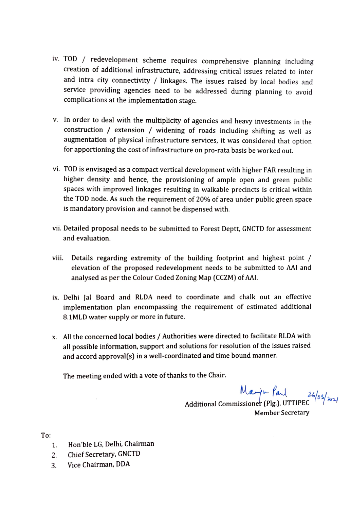- iv. TOD / redevelopment scheme requires comprehensive planning includin creation of additional infrastructure, addressing critical issues related to inter and intra city connectivity / linkages. The issues raised by local bodies and service providing agencies need to be addressed during planning to avoid complications at the implementation stage.
- v. In order to deal with the multiplicity of agencies and heavy investments in the construction / extension / widening of roads including shifting as well as augmentation of physical infrastructure services, it was considered that option for apportioning the cost of infrastructure on pro-rata basis be worked out.
- vi. TOD is envisaged as a compact vertical development with higher FAR resulting in higher density and hence, the provisioning of ample open and green public spaces with improved linkages resulting in walkable precincts is critical within the TOD node. As such the requirement of 20% of area under public green space is mandatory provision and cannot be dispensed with.
- vii. Detailed proposal needs to be submitted to Forest Deptt, GNCTD for assessment and evaluation.
- Details regarding extremity of the building footprint and highest point / elevation of the proposed redevelopment needs to be submitted to AAl and analysed as per the Colour Coded Zoning Map (CcZM) of AAL. vii.
- ix. Delhi Jal Board and RLDA need to coordinate and chalk out an effective implementation plan encompassing the requirement of estimated additional 8.1MLD water supply or more in future.
- x. All the concerned local bodies / Authorities were directed to facilitate RLDA with all possible information, support and solutions for resolution of the issues raised and accord approval(s) in a well-coordinated and time bound manner.

The meeting ended with a vote of thanks to the Chair.

 $M_{\alpha\rightarrow m}$   $f_{a\downarrow}$   $_{26/03/m}$ <br>Additional Commissioner (Plg.), UTTIPEC

Member Secretary

To:

- 1. Hon'ble LG, Delhi, Chairman
- 2. Chief Secretary, GNCTD
- 3. Vice Chairman, DDA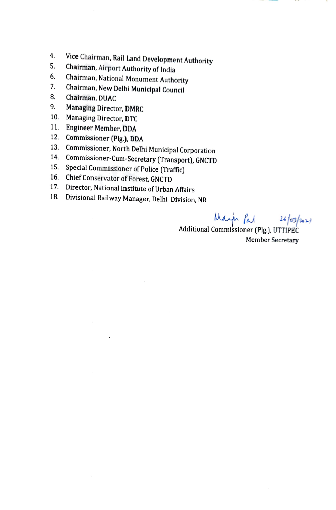- 4. Vice Chairman, Rail Land Development Authority<br>5. Chairman, Airport Authority of India<br>6. Chairman, National Monument Authority 4
- 
- 6. Chairman, National Monument Authority Chairman, New Delhi Municipal Council
- 7.
- 8. Chairman, DUAC
- 9. Managing Director, DMRC
- 10. Managing Director, DTC
- 11. Engineer Member, DDA

 $\mathfrak{c}$ 

- 
- 12. Commissioner (Plg.), DDA<br>13. Commissioner, North Delhi Municipal Corporation
- 14. Commissioner-Cum-Secretary (Transport), GNCTD<br>15. Special Commissioner of Police (Traffic)
- 
- 16. Chief Conservator of Forest, GNCTD
- 17. Director, National Institute of Urban Affairs
- 18. Divisional Railway Manager, Delhi Division, NR

 $\mu_{\text{A}}$   $\mu_{\text{B}}$   $\mu_{\text{B}}$   $\mu_{\text{B}}$ <br>Additional Commissioner (Plg.), UTTIPEC

Member Secretary